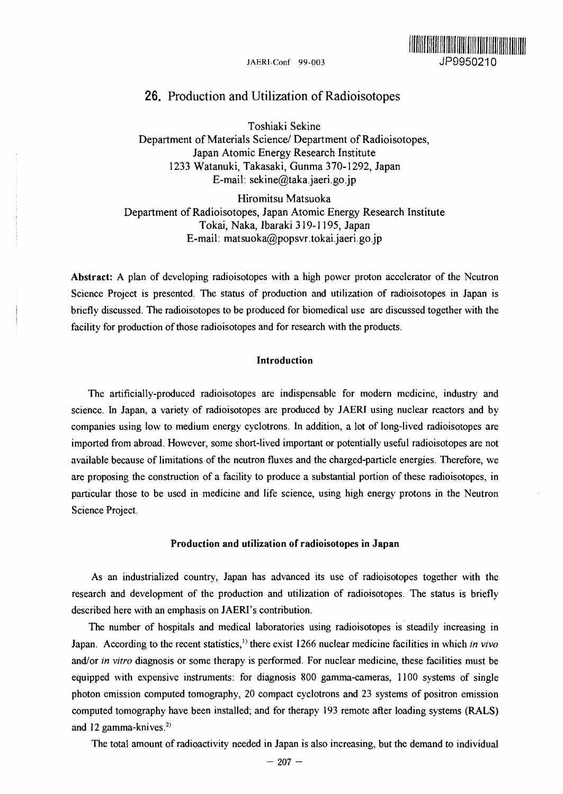

## 26. Production and Utilization of Radioisotopes

Toshiaki Sekine Department of Materials Science/ Department of Radioisotopes, Japan Atomic Energy Research Institute 1233 Watanuki, Takasaki, Gunma 370-1292, Japan E-mail: sekine@taka.jaeri.go.jp

Hiromitsu Matsuoka Department of Radioisotopes, Japan Atomic Energy Research Institute Tokai, Naka, Ibaraki 319-1195, Japan E-mail: matsuoka@popsvr.tokai.jaeri.go.jp

**Abstract:** A plan of developing radioisotopes with a high power proton accelerator of the Neutron Science Project is presented. The status of production and utilization of radioisotopes in Japan is briefly discussed. The radioisotopes to be produced for biomedical use are discussed together with the facility for production of those radioisotopes and for research with the products.

## **Introduction**

The artificially-produced radioisotopes are indispensable for modern medicine, industry and science. In Japan, a variety of radioisotopes are produced by JAERI using nuclear reactors and by companies using low to medium energy cyclotrons. In addition, a lot of long-lived radioisotopes are imported from abroad. However, some short-lived important or potentially useful radioisotopes are not available because of limitations of the neutron fluxes and the charged-particle energies. Therefore, we are proposing the construction of a facility to produce a substantial portion of these radioisotopes, in particular those to be used in medicine and life science, using high energy protons in the Neutron Science Project.

## **Production and utilization of radioisotopes in Japan**

As an industrialized country, Japan has advanced its use of radioisotopes together with the research and development of the production and utilization of radioisotopes. The status is briefly described here with an emphasis on JAERI's contribution.

The number of hospitals and medical laboratories using radioisotopes is steadily increasing in Japan. According to the recent statistics,<sup>1)</sup> there exist 1266 nuclear medicine facilities in which *in vivo* and/or *in vitro* diagnosis or some therapy is performed. For nuclear medicine, these facilities must be equipped with expensive instruments: for diagnosis 800 gamma-cameras, 1100 systems of single photon emission computed tomography, 20 compact cyclotrons and 23 systems of positron emission computed tomography have been installed; and for therapy 193 remote after loading systems (RALS) and 12 gamma-knives.<sup>2)</sup>

The total amount of radioactivity needed in Japan is also increasing, but the demand to individual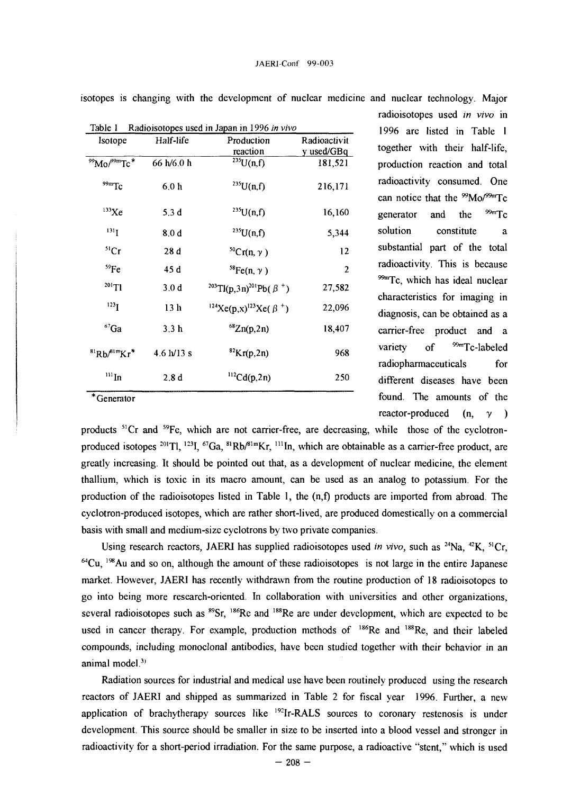| Isotope                   | Half-life                    | Production<br>reaction                                            | Radioactivit<br>y used/GBq |
|---------------------------|------------------------------|-------------------------------------------------------------------|----------------------------|
| $\rm{^{99}Mo/^{99m}Tc}$ * | 66 h/6.0 h                   | $\sqrt[235]{U(n,f)}$                                              | 181,521                    |
| $99m$ Tc                  | 6.0 h                        | $^{235}U(n,f)$                                                    | 216,171                    |
| $133$ Xe                  | 5.3 <sub>d</sub>             | $^{235}U(n,f)$                                                    | 16,160                     |
| $131$ <sub>I</sub>        | 8.0 <sub>d</sub>             | $^{235}U(n,f)$                                                    | 5,344                      |
| $^{51}Cr$                 | 28d                          | ${}^{50}Cr(n, \gamma)$                                            | 12                         |
| ${}^{59}Fe$               | 45 d                         | ${}^{58}Fe(n, \gamma)$                                            | 2                          |
| $^{201}T1$                | 3.0 <sub>d</sub>             | <sup>203</sup> Tl(p,3n) <sup>201</sup> Pb( $\beta$ <sup>+</sup> ) | 27,582                     |
| $^{123}I$                 | 13 <sub>h</sub>              | <sup>124</sup> Xe(p,x) <sup>123</sup> Xe( $\beta$ <sup>+</sup> )  | 22,096                     |
| $67$ Ga                   | 3.3 <sub>h</sub>             | ${}^{68}Zn(p,2n)$                                                 | 18,407                     |
| ${}^{81}Rb/{}^{81m}Kr^*$  | $4.6 \text{ h}/13 \text{ s}$ | ${}^{82}\text{Kr}(p,2n)$                                          | 968                        |
| $\rm ^{111}In$            | 2.8d                         | $^{112}Cd(p,2n)$                                                  | 250                        |

isotopes is changing with the development of nuclear medicine and nuclear technology. Major

in 1996 in vivo<br>1996 are listed in Table 1 together with their half-life, production reaction and total radioactivity consumed. One can notice that the  $\frac{99}{9}Mo/^{99m}Tc$ generator and the  $\frac{99m}{2}$  c solution constitute a substantial part of the total radioactivity. This is because  $^{99m}$ Tc, which has ideal nuclear characteristics for imaging in diagnosis, can be obtained as a carrier-free product and a variety of  $\frac{99m}{\pi}$ Tc-labeled radiopharmaceuticals for different diseases have been found. The amounts of the reactor-produced (n, *y )*

radioisotopes used *in vivo* in

Generator

products <sup>51</sup>Cr and <sup>59</sup>Fe, which are not carrier-free, are decreasing, while those of the cyclotronproduced isotopes <sup>201</sup>Tl, <sup>123</sup>I, <sup>67</sup>Ga, <sup>81</sup>Rb/<sup>81m</sup>Kr, <sup>111</sup>In, which are obtainable as a carrier-free product, are greatly increasing. It should be pointed out that, as a development of nuclear medicine, the element thallium, which is toxic in its macro amount, can be used as an analog to potassium. For the production of the radioisotopes listed in Table 1, the (n,f) products are imported from abroad. The cyclotron-produced isotopes, which are rather short-lived, are produced domestically on a commercial basis with small and medium-size cyclotrons by two private companies.

Using research reactors, JAERI has supplied radioisotopes used in vivo, such as <sup>24</sup>Na, <sup>42</sup>K, <sup>51</sup>Cr  $64$ Cu,  $1\%$ Au and so on, although the amount of these radioisotopes is not large in the entire Japanese market. However, JAERI has recently withdrawn from the routine production of 18 radioisotopes to go into being more research-oriented. In collaboration with universities and other organizations, several radioisotopes such as <sup>89</sup>Sr, <sup>186</sup>Re and <sup>188</sup>Re are under development, which are expected to be used in cancer therapy. For example, production methods of <sup>186</sup>Re and <sup>188</sup>Re, and their labeled compounds, including monoclonal antibodies, have been studied together with their behavior in an animal model.<sup>3)</sup>

Radiation sources for industrial and medical use have been routinely produced using the research reactors of JAERI and shipped as summarized in Table 2 for fiscal year 1996. Further, a new application of brachytherapy sources like <sup>192</sup>Ir-RALS sources to coronary restenosis is under development. This source should be smaller in size to be inserted into a blood vessel and stronger in radioactivity for a short-period irradiation. For the same purpose, a radioactive "stent," which is used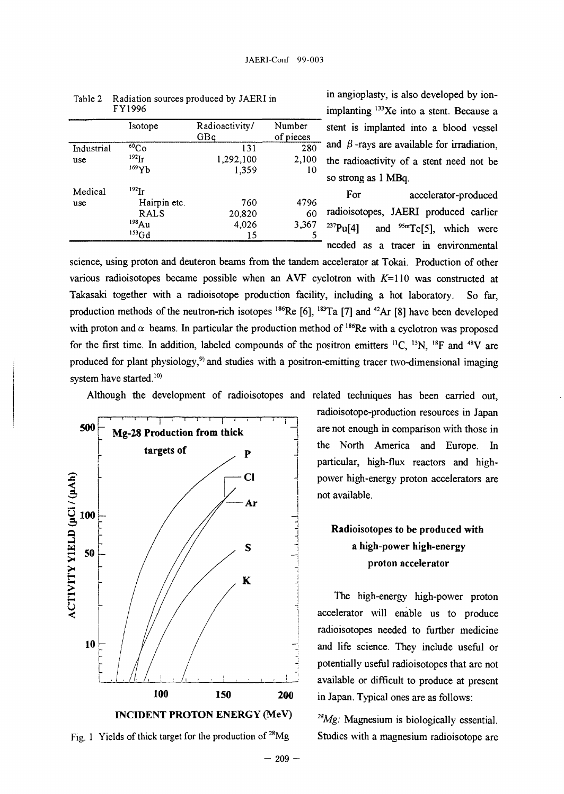|            | Isotope         | Radioactivity/<br>GBq | Number<br>of pieces |
|------------|-----------------|-----------------------|---------------------|
| Industrial | $60^{\circ}$ Co | 131                   | 280                 |
| use        | $^{192}$ Ir     | 1,292,100             | 2,100               |
|            | 169Yb           | 1,359                 | 10                  |
| Medical    | $^{192}$ Ir     |                       |                     |
| use        | Hairpin etc.    | 760                   | 4796                |
|            | RALS            | 20,820                | 60                  |
|            | 198Au           | 4,026                 | 3,367               |
|            | $153$ Gd        | 15                    | 5                   |

| Table 2 Radiation sources produced by JAERI in |
|------------------------------------------------|
| FY1996                                         |

in angioplasty, is also developed by ionimplanting <sup>133</sup>Xe into a stent. Because a stent is implanted into a blood vessel  $-$  and  $\beta$  -rays are available for irradiation, the radioactivity of a stent need not be so strong as 1 MBq.

For accelerator-produced en and the state of the state of the state of the state of the state of the state of the state of the state of 60 radioisotopes, **JAERI** produced earlier  $^{237}Pu[4]$  and  $^{95m}Tc[5]$ , which were needed as a tracer in environmental

science, using proton and deuteron beams from the tandem accelerator at Tokai. Production of other various radioisotopes became possible when an AVF cyclotron with  $K=110$  was constructed at Takasaki together with a radioisotope production facility, including a hot laboratory. So far, production methods of the neutron-rich isotopes <sup>186</sup>Re [6], <sup>183</sup>Ta [7] and <sup>42</sup>Ar [8] have been developed with proton and  $\alpha$  beams. In particular the production method of <sup>186</sup>Re with a cyclotron was proposed for the first time. In addition, labeled compounds of the positron emitters  ${}^{11}C$ ,  ${}^{13}N$ ,  ${}^{18}F$  and  ${}^{48}V$  are produced for plant physiology,<sup>9</sup> and studies with a positron-emitting tracer two-dimensional imaging system have started.<sup>10)</sup>

Although the development of radioisotopes and related techniques has been carried out,





radioisotope-production resources in Japan are not enough in comparison with those in the North America and Europe. In particular, high-flux reactors and highpower high-energy proton accelerators are not available.

# **Radioisotopes to be produced with** a **high-power high-energy proton accelerator**

The high-energy high-power proton accelerator will enable us to produce radioisotopes needed to further medicine and life science. They include useful or potentially useful radioisotopes that are not available or difficult to produce at present in Japan. Typical ones are as follows:

*2SMg:* Magnesium is biologically essential. Studies with a magnesium radioisotope are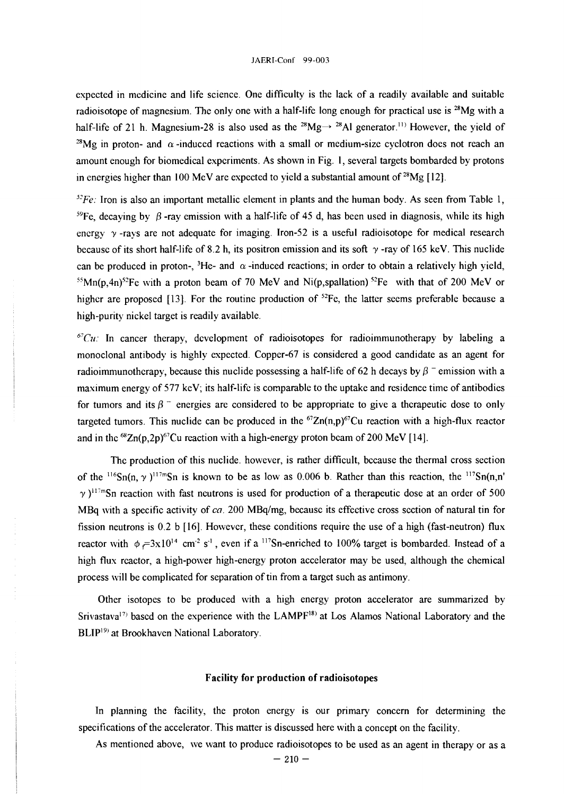#### JAERI-Conf 99-003

expected in medicine and life science. One difficulty is the lack of a readily available and suitable radioisotope of magnesium. The only one with a half-life long enough for practical use is <sup>28</sup>Mg with a half-life of 21 h. Magnesium-28 is also used as the <sup>28</sup>Mg $\rightarrow$  <sup>28</sup>Al generator.<sup>11)</sup> However, the yield of <sup>28</sup>Mg in proton- and  $\alpha$ -induced reactions with a small or medium-size cyclotron does not reach an amount enough for biomedical experiments. As shown in Fig. 1, several targets bombarded by protons in energies higher than 100 MeV are expected to yield a substantial amount of  $28$ Mg [12].

*<sup>52</sup>Fe:* Iron is also an important metallic element in plants and the human body. As seen from Table 1, <sup>59</sup>Fe, decaying by  $\beta$ -ray emission with a half-life of 45 d, has been used in diagnosis, while its high energy *y* -rays are not adequate for imaging. Iron-52 is a useful radioisotope for medical research because of its short half-life of 8.2 h, its positron emission and its soft  $\gamma$ -ray of 165 keV. This nuclide can be produced in proton-, <sup>3</sup>He- and  $\alpha$ -induced reactions; in order to obtain a relatively high yield,  $55$ Mn(p,4n)<sup>52</sup>Fe with a proton beam of 70 MeV and Ni(p,spallation)<sup>52</sup>Fe with that of 200 MeV or higher are proposed [13]. For the routine production of <sup>52</sup>Fe, the latter seems preferable because a high-purity nickel target is readily available.

 ${}^{67}Cu$ : In cancer therapy, development of radioisotopes for radioimmunotherapy by labeling a monoclonal antibody is highly expected. Copper-67 is considered a good candidate as an agent for radioimmunotherapy, because this nuclide possessing a half-life of 62 h decays by  $\beta$ <sup>-</sup> emission with a maximum energy of 577 keV; its half-life is comparable to the uptake and residence time of antibodies for tumors and its  $\beta$ <sup>-</sup> energies are considered to be appropriate to give a therapeutic dose to only targeted tumors. This nuclide can be produced in the  ${}^{67}Zn(n,p){}^{67}Cu$  reaction with a high-flux reactor and in the  ${}^{68}Zn(p,2p){}^{67}Cu$  reaction with a high-energy proton beam of 200 MeV [14].

The production of this nuclide. however, is rather difficult, because the thermal cross section of the <sup>116</sup>Sn(n,  $\gamma$ )<sup>117m</sup>Sn is known to be as low as 0.006 b. Rather than this reaction, the <sup>117</sup>Sn(n,n  $\gamma$ )<sup>117m</sup>Sn reaction with fast neutrons is used for production of a therapeutic dose at an order of 500 MBq with a specific activity of *ca.* 200 MBq/mg, because its effective cross section of natural tin for fission neutrons is 0.2 b [16]. However, these conditions require the use of a high (fast-neutron) flux reactor with  $\phi = 3x10^{14}$  cm<sup>-2</sup> s<sup>-1</sup>, even if a <sup>117</sup>Sn-enriched to 100% target is bombarded. Instead of a high flux reactor, a high-power high-energy proton accelerator may be used, although the chemical process will be complicated for separation of tin from a target such as antimony.

Other isotopes to be produced with a high energy proton accelerator are summarized by Srivastava<sup>17)</sup> based on the experience with the LAMPF<sup>18)</sup> at Los Alamos National Laboratory and the BLIP<sup>19)</sup> at Brookhaven National Laboratory.

## **Facility for production of radioisotopes**

In planning the facility, the proton energy is our primary concern for determining the specifications of the accelerator. This matter is discussed here with a concept on the facility.

As mentioned above, we want to produce radioisotopes to be used as an agent in therapy or as a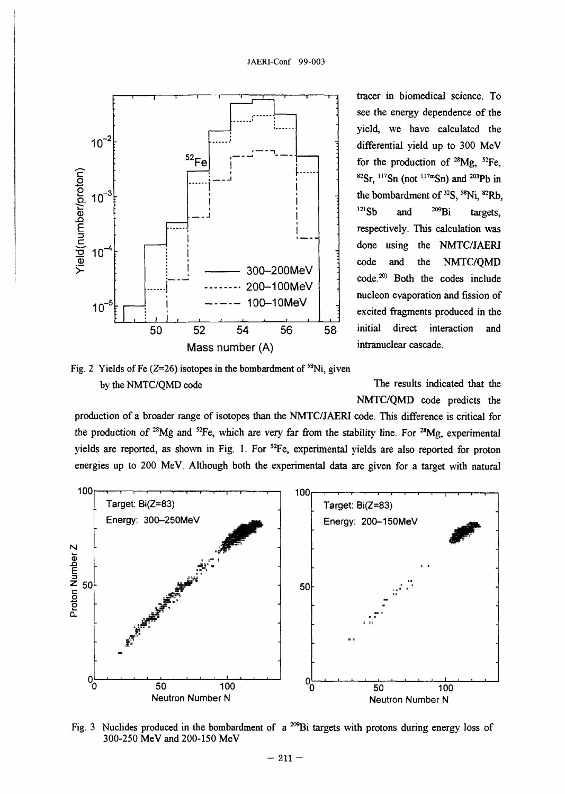



tracer in biomedical science. To see the energy dependence of the yield, we have calculated the differential yield up to 300 MeV for the production of <sup>28</sup>Mg, <sup>52</sup>Fe,  ${}^{82}Sr$ ,  ${}^{117}Sn$  (not  ${}^{117m}Sn$ ) and  ${}^{203}Pb$  in the bombardment of  $32\text{S}$ ,  $58\text{Ni}$ ,  $82\text{Rb}$ , <sup>121</sup>Sb and <sup>209</sup>Bi targets, respectively. This calculation was done using the NMTC/JAERI code and the NMTC/QMD code.20) Both the codes include nucleon evaporation and fission of excited fragments produced in the initial direct interaction and intranuclear cascade.

The results indicated that the NMTC/QMD code predicts the

production of a broader range of isotopes than the NMTC/JAERI code. This difference is critical for the production of <sup>28</sup>Mg and <sup>52</sup>Fe, which are very far from the stability line. For <sup>28</sup>Mg, experimenta yields are reported, as shown in Fig. 1. For <sup>52</sup>Fe, experimental yields are also reported for proton energies up to 200 MeV. Although both the experimental data are given for a target with natural



Fig. 3 Nuclides produced in the bombardment of  $a^{209}$ Bi targets with protons during energy loss of 300-250 MeV and 200-150 MeV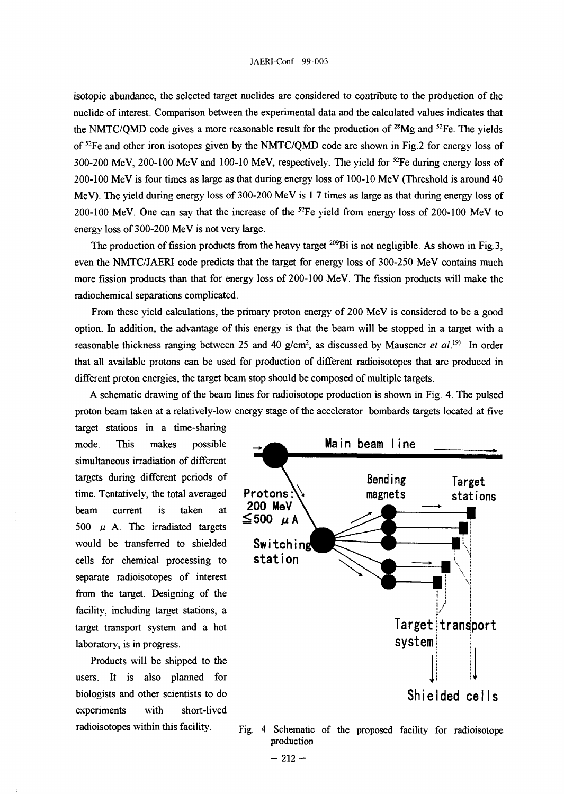isotopic abundance, the selected target nuclides are considered to contribute to the production of the nuclide of interest. Comparison between the experimental data and the calculated values indicates that the NMTC/QMD code gives a more reasonable result for the production of  $28$ Mg and  $52$ Fe. The yields of <sup>52</sup>Fe and other iron isotopes given by the NMTC/QMD code are shown in Fig.2 for energy loss of 300-200 MeV, 200-100 MeV and 100-10 MeV, respectively. The yield for <sup>52</sup>Fe during energy loss of 200-100 MeV is four times as large as that during energy loss of 100-10 MeV (Threshold is around 40 MeV). The yield during energy loss of 300-200 MeV is 1.7 times as large as that during energy loss of 200-100 MeV. One can say that the increase of the <sup>52</sup>Fe yield from energy loss of 200-100 MeV to energy loss of 300-200 MeV is not very large.

The production of fission products from the heavy target  $^{209}$ Bi is not negligible. As shown in Fig.3, even the NMTC/JAERI code predicts that the target for energy loss of 300-250 MeV contains much more fission products than that for energy loss of 200-100 MeV. The fission products will make the radiochemical separations complicated.

From these yield calculations, the primary proton energy of 200 MeV is considered to be a good option. In addition, the advantage of this energy is that the beam will be stopped in a target with a reasonable thickness ranging between 25 and 40 g/cm<sup>2</sup>, as discussed by Mausener et al.<sup>19)</sup> In order that all available protons can be used for production of different radioisotopes that are produced in different proton energies, the target beam stop should be composed of multiple targets.

A schematic drawing of the beam lines for radioisotope production is shown in Fig. 4. The pulsed proton beam taken at a relatively-low energy stage of the accelerator bombards targets located at five

target stations in a time-sharing simultaneous irradiation of different targets during different periods of time. Tentatively, the total averaged beam current is taken at 500  $\mu$  A. The irradiated targets would be transferred to shielded cells for chemical processing to separate radioisotopes of interest from the target. Designing of the facility, including target stations, a target transport system and a hot laboratory, is in progress.

Products will be shipped to the users. It is also planned for biologists and other scientists to do experiments with short-lived radioisotopes within this facility.



Fig. 4 Schematic of the proposed facility for radioisotope production